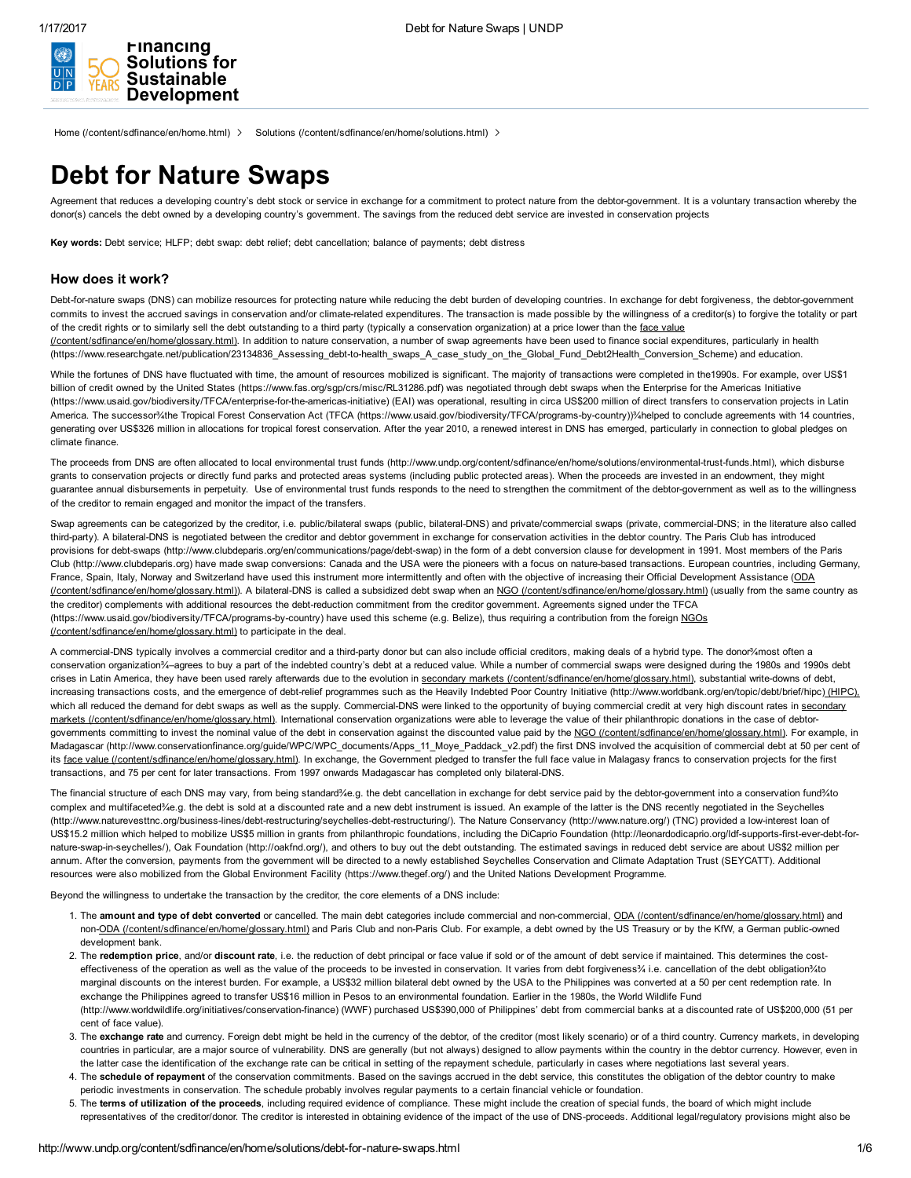(/)





Home [\(/content/sdfinance/en/home.html\)](http://www.undp.org/content/sdfinance/en/home.html) > Solutions [\(/content/sdfinance/en/home/solutions.html\)](http://www.undp.org/content/sdfinance/en/home/solutions.html) >

# Debt for Nature Swaps

Agreement that reduces a developing country's debt stock or service in exchange for a commitment to protect nature from the debtor-government. It is a voluntary transaction whereby the donor(s) cancels the debt owned by a developing country's government. The savings from the reduced debt service are invested in conservation projects

Key words: Debt service; HLFP; debt swap: debt relief; debt cancellation; balance of payments; debt distress

# How does it work?

Debt-for-nature swaps (DNS) can mobilize resources for protecting nature while reducing the debt burden of developing countries. In exchange for debt forgiveness, the debtor-government commits to invest the accrued savings in conservation and/or climate-related expenditures. The transaction is made possible by the willingness of a creditor(s) to forgive the totality or part of the credit rights or to similarly sell the debt outstanding to a third party (typically a conservation organization) at a price lower than the face value [\(/content/sdfinance/en/home/glossary.html\).](http://www.undp.org/content/sdfinance/en/home/glossary.html) In addition to nature conservation, a number of swap agreements have been used to finance social expenditures, particularly in health [\(https://www.researchgate.net/publication/23134836\\_Assessing\\_debttohealth\\_swaps\\_A\\_case\\_study\\_on\\_the\\_Global\\_Fund\\_Debt2Health\\_Conversion\\_Scheme\)](https://www.researchgate.net/publication/23134836_Assessing_debt-to-health_swaps_A_case_study_on_the_Global_Fund_Debt2Health_Conversion_Scheme) and education.

While the fortunes of DNS have fluctuated with time, the amount of resources mobilized is significant. The majority of transactions were completed in the1990s. For example, over US\$1 billion of credit owned by the United States [\(https://www.fas.org/sgp/crs/misc/RL31286.pdf\)](https://www.fas.org/sgp/crs/misc/RL31286.pdf) was negotiated through debt swaps when the Enterprise for the Americas Initiative (https://www.usaid.gov/biodiversity/TFCA/enterprise-for-the-americas-initiative) (EAI) was operational, resulting in circa US\$200 million of direct transfers to conservation projects in Latin America. The successor%the Tropical Forest Conservation Act (TFCA (https://www.usaid.gov/biodiversity/TFCA/programs-by-country))%helped to conclude agreements with 14 countries, generating over US\$326 million in allocations for tropical forest conservation. After the year 2010, a renewed interest in DNS has emerged, particularly in connection to global pledges on climate finance.

The proceeds from DNS are often allocated to local environmental trust funds (http://www.undp.org/content/sdfinance/en/home/solutions/environmental-trust-funds.html), which disburse grants to conservation projects or directly fund parks and protected areas systems (including public protected areas). When the proceeds are invested in an endowment, they might guarantee annual disbursements in perpetuity. Use of environmental trust funds responds to the need to strengthen the commitment of the debtor-government as well as to the willingness of the creditor to remain engaged and monitor the impact of the transfers.

Swap agreements can be categorized by the creditor, i.e. public/bilateral swaps (public, bilateral-DNS) and private/commercial swaps (private, commercial-DNS; in the literature also called third-party). A bilateral-DNS is negotiated between the creditor and debtor government in exchange for conservation activities in the debtor country. The Paris Club has introduced provisions for debt-swaps (http://www.clubdeparis.org/en/communications/page/debt-swap) in the form of a debt conversion clause for development in 1991. Most members of the Paris Club (http://www.clubdeparis.org) have made swap conversions: Canada and the USA were the pioneers with a focus on naturebased transactions. European countries, including Germany, France, Spain, Italy, Norway and Switzerland have used this instrument more intermittently and often with the objective of increasing their Official Development Assistance (ODA [\(/content/sdfinance/en/home/glossary.html\)\).](http://www.undp.org/content/sdfinance/en/home/glossary.html) A bilateral-DNS is called a subsidized debt swap when an NGO [\(/content/sdfinance/en/home/glossary.html\)](http://www.undp.org/content/sdfinance/en/home/glossary.html) (usually from the same country as the creditor) complements with additional resources the debtreduction commitment from the creditor government. Agreements signed under the TFCA (https://www.usaid.gov/biodiversity/TFCA/programs-by-country) have used this scheme (e.g. Belize), thus requiring a contribution from the foreign NGOs (/content/sdfinance/en/home/glossary.html) to participate in the deal.

A commercial-DNS typically involves a commercial creditor and a third-party donor but can also include official creditors, making deals of a hybrid type. The donor¾most often a conservation organization¾–agrees to buy a part of the indebted country's debt at a reduced value. While a number of commercial swaps were designed during the 1980s and 1990s debt crises in Latin America, they have been used rarely afterwards due to the evolution in secondary markets [\(/content/sdfinance/en/home/glossary.html\)](http://www.undp.org/content/sdfinance/en/home/glossary.html), substantial write-downs of debt, increasing transactions costs, and the emergence of debt-relief programmes such as the Heavily Indebted Poor Country Initiative [\(http://www.worldbank.org/en/topic/debt/brief/hipc\)](http://www.worldbank.org/en/topic/debt/brief/hipc)\_[HIPC), which all reduced the demand for debt swaps as well as the supply. Commercial-DNS were linked to the opportunity of buying commercial credit at very high discount rates in secondary markets [\(/content/sdfinance/en/home/glossary.html\).](http://www.undp.org/content/sdfinance/en/home/glossary.html) International conservation organizations were able to leverage the value of their philanthropic donations in the case of debtor-governments committing to invest the nominal value of the debt in conservation against the discounted value paid by the NGO [\(/content/sdfinance/en/home/glossary.html\).](http://www.undp.org/content/sdfinance/en/home/glossary.html) For example, in Madagascar [\(http://www.conservationfinance.org/guide/WPC/WPC\\_documents/Apps\\_11\\_Moye\\_Paddack\\_v2.pdf\)](http://www.conservationfinance.org/guide/WPC/WPC_documents/Apps_11_Moye_Paddack_v2.pdf) the first DNS involved the acquisition of commercial debt at 50 per cent of its face value [\(/content/sdfinance/en/home/glossary.html\)](http://www.undp.org/content/sdfinance/en/home/glossary.html). In exchange, the Government pledged to transfer the full face value in Malagasy francs to conservation projects for the first transactions, and 75 per cent for later transactions. From 1997 onwards Madagascar has completed only bilateral-DNS.

The financial structure of each DNS may vary, from being standard¾e.g. the debt cancellation in exchange for debt service paid by the debtor-government into a conservation fund¾to complex and multifaceted¾e.g. the debt is sold at a discounted rate and a new debt instrument is issued. An example of the latter is the DNS recently negotiated in the Seychelles (http://www.naturevesttnc.org/business-lines/debt-restructuring/seychelles-debt-restructuring/). The Nature Conservancy [\(http://www.nature.org/\)](http://www.nature.org/) (TNC) provided a low-interest loan of US\$15.2 million which helped to mobilize US\$5 million in grants from philanthropic foundations, including the DiCaprio Foundation (http://leonardodicaprio.org/ldf-supports-first-ever-debt-for-nature-swap-in-seychelles/), Oak Foundation [\(http://oakfnd.org/\),](http://oakfnd.org/) and others to buy out the debt outstanding. The estimated savings in reduced debt service are about US\$2 million per annum. After the conversion, payments from the government will be directed to a newly established Seychelles Conservation and Climate Adaptation Trust (SEYCATT). Additional resources were also mobilized from the Global Environment Facility [\(https://www.thegef.org/\)](https://www.thegef.org/) and the United Nations Development Programme.

Beyond the willingness to undertake the transaction by the creditor, the core elements of a DNS include:

- 1. The amount and type of debt converted or cancelled. The main debt categories include commercial and non-commercial, ODA [\(/content/sdfinance/en/home/glossary.html\)](http://www.undp.org/content/sdfinance/en/home/glossary.html) and non-ODA [\(/content/sdfinance/en/home/glossary.html\)](http://www.undp.org/content/sdfinance/en/home/glossary.html) and Paris Club and non-Paris Club. For example, a debt owned by the US Treasury or by the KfW, a German public-owned development bank.
- 2. The redemption price, and/or discount rate, i.e. the reduction of debt principal or face value if sold or of the amount of debt service if maintained. This determines the costeffectiveness of the operation as well as the value of the proceeds to be invested in conservation. It varies from debt forgiveness% i.e. cancellation of the debt obligation%to marginal discounts on the interest burden. For example, a US\$32 million bilateral debt owned by the USA to the Philippines was converted at a 50 per cent redemption rate. In exchange the Philippines agreed to transfer US\$16 million in Pesos to an environmental foundation. Earlier in the 1980s, the World Wildlife Fund (http://www.worldwildlife.org/initiatives/conservation-finance) (WWF) purchased US\$390,000 of Philippines' debt from commercial banks at a discounted rate of US\$200,000 (51 per cent of face value).
- 3. The exchange rate and currency. Foreign debt might be held in the currency of the debtor, of the creditor (most likely scenario) or of a third country. Currency markets, in developing countries in particular, are a major source of vulnerability. DNS are generally (but not always) designed to allow payments within the country in the debtor currency. However, even in the latter case the identification of the exchange rate can be critical in setting of the repayment schedule, particularly in cases where negotiations last several years.
- 4. The schedule of repayment of the conservation commitments. Based on the savings accrued in the debt service, this constitutes the obligation of the debtor country to make periodic investments in conservation. The schedule probably involves regular payments to a certain financial vehicle or foundation.
- 5. The terms of utilization of the proceeds, including required evidence of compliance. These might include the creation of special funds, the board of which might include
- representatives of the creditor/donor. The creditor is interested in obtaining evidence of the impact of the use of DNS-proceeds. Additional legal/requlatory provisions might also be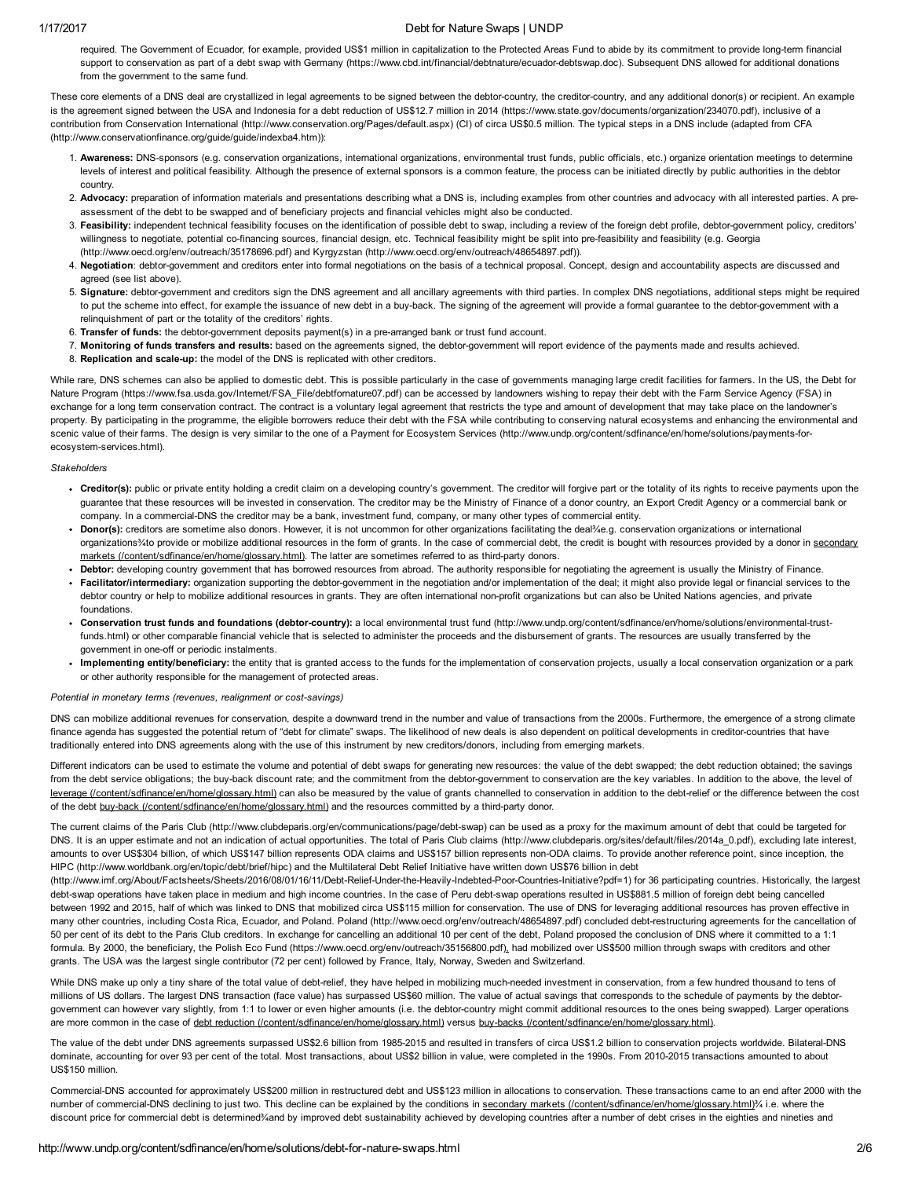#### 1/17/2017 Debt for Nature Swaps | UNDP

required. The Government of Ecuador, for example, provided US\$1 million in capitalization to the Protected Areas Fund to abide by its commitment to provide long-term financial support to conservation as part of a debt swap with Germany (https://www.cbd.int/financial/debtnature/ecuador-debtswap.doc). Subsequent DNS allowed for additional donations from the government to the same fund.

These core elements of a DNS deal are crystallized in legal agreements to be signed between the debtor-country, the creditor-country, and any additional donor(s) or recipient. An example is the agreement signed between the USA and Indonesia for a debt reduction of US\$12.7 million in 2014 [\(https://www.state.gov/documents/organization/234070.pdf\),](https://www.state.gov/documents/organization/234070.pdf) inclusive of a contribution from Conservation International [\(http://www.conservation.org/Pages/default.aspx\)](http://www.conservation.org/Pages/default.aspx) (CI) of circa US\$0.5 million. The typical steps in a DNS include (adapted from CFA [\(http://www.conservationfinance.org/guide/guide/indexba4.htm\)\):](http://www.conservationfinance.org/guide/guide/indexba4.htm)

- 1. Awareness: DNS-sponsors (e.g. conservation organizations, international organizations, environmental trust funds, public officials, etc.) organize orientation meetings to determine levels of interest and political feasibility. Although the presence of external sponsors is a common feature, the process can be initiated directly by public authorities in the debtor country.
- 2. Advocacy: preparation of information materials and presentations describing what a DNS is, including examples from other countries and advocacy with all interested parties. A preassessment of the debt to be swapped and of beneficiary projects and financial vehicles might also be conducted.
- 3. Feasibility: independent technical feasibility focuses on the identification of possible debt to swap, including a review of the foreign debt profile, debtor-government policy, creditors' willingness to negotiate, potential co-financing sources, financial design, etc. Technical feasibility might be split into pre-feasibility and feasibility (e.g. Georgia (http://www.oecd.org/env/outreach/35178696.pdf) and Kyrgyzstan [\(http://www.oecd.org/env/outreach/48654897.pdf\)\).](http://www.oecd.org/env/outreach/35178696.pdf)
- 4. Negotiation: debtor-government and creditors enter into formal negotiations on the basis of a technical proposal. Concept, design and accountability aspects are discussed and agreed (see list above).
- 5. Signature: debtor-government and creditors sign the DNS agreement and all ancillary agreements with third parties. In complex DNS negotiations, additional steps might be required to put the scheme into effect, for example the issuance of new debt in a buy-back. The signing of the agreement will provide a formal guarantee to the debtor-government with a relinguishment of part or the totality of the creditors' rights.
- 6. Transfer of funds: the debtorgovernment deposits payment(s) in a prearranged bank or trust fund account.
- 7. Monitoring of funds transfers and results: based on the agreements signed, the debtor-government will report evidence of the payments made and results achieved.
- 8. Replication and scale-up: the model of the DNS is replicated with other creditors.

While rare, DNS schemes can also be applied to domestic debt. This is possible particularly in the case of governments managing large credit facilities for farmers. In the US, the Debt for Nature Program [\(https://www.fsa.usda.gov/Internet/FSA\\_File/debtfornature07.pdf\)](https://www.fsa.usda.gov/Internet/FSA_File/debtfornature07.pdf) can be accessed by landowners wishing to repay their debt with the Farm Service Agency (FSA) in exchange for a long term conservation contract. The contract is a voluntary legal agreement that restricts the type and amount of development that may take place on the landowner's property. By participating in the programme, the eligible borrowers reduce their debt with the FSA while contributing to conserving natural ecosystems and enhancing the environmental and scenic value of their farms. The design is very similar to the one of a Payment for Ecosystem Services (http://www.undp.org/content/sdfinance/en/home/solutions/payments-forecosystem-services.html).

#### **Stakeholders**

- Creditor(s): public or private entity holding a credit claim on a developing country's government. The creditor will forgive part or the totality of its rights to receive payments upon the quarantee that these resources will be invested in conservation. The creditor may be the Ministry of Finance of a donor country, an Export Credit Agency or a commercial bank or company. In a commercial-DNS the creditor may be a bank, investment fund, company, or many other types of commercial entity.
- Donor(s): creditors are sometime also donors. However, it is not uncommon for other organizations facilitating the deal¾e.g. conservation organizations or international organizations%to provide or mobilize additional resources in the form of grants. In the case of commercial debt, the credit is bought with resources provided by a donor in secondary markets [\(/content/sdfinance/en/home/glossary.html\).](http://www.undp.org/content/sdfinance/en/home/glossary.html) The latter are sometimes referred to as third-party donors.
- . Debtor: developing country government that has borrowed resources from abroad. The authority responsible for negotiating the agreement is usually the Ministry of Finance.
- Facilitator/intermediary: organization supporting the debtor-government in the negotiation and/or implementation of the deal; it might also provide legal or financial services to the debtor country or help to mobilize additional resources in grants. They are often international non-profit organizations but can also be United Nations agencies, and private foundations.
- Conservation trust funds and foundations (debtor-country): a local environmental trust fund (http://www.undp.org/content/sdfinance/en/home/solutions/environmental-trustfunds.html) or other comparable financial vehicle that is selected to administer the proceeds and the disbursement of grants. The resources are usually transferred by the government in one-off or periodic instalments.
- Implementing entity/beneficiary: the entity that is granted access to the funds for the implementation of conservation projects, usually a local conservation organization or a park or other authority responsible for the management of protected areas.

#### Potential in monetary terms (revenues, realignment or cost-savings)

DNS can mobilize additional revenues for conservation, despite a downward trend in the number and value of transactions from the 2000s. Furthermore, the emergence of a strong climate finance agenda has suggested the potential return of "debt for climate" swaps. The likelihood of new deals is also dependent on political developments in creditor-countries that have traditionally entered into DNS agreements along with the use of this instrument by new creditors/donors, including from emerging markets.

Different indicators can be used to estimate the volume and potential of debt swaps for generating new resources: the value of the debt swapped; the debt reduction obtained; the savings from the debt service obligations; the buy-back discount rate; and the commitment from the debtor-government to conservation are the key variables. In addition to the above, the level of leverage [\(/content/sdfinance/en/home/glossary.html\)](http://www.undp.org/content/sdfinance/en/home/glossary.html) can also be measured by the value of grants channelled to conservation in addition to the debt-relief or the difference between the cost of the debt buy-back [\(/content/sdfinance/en/home/glossary.html\)](http://www.undp.org/content/sdfinance/en/home/glossary.html) and the resources committed by a third-party donor.

The current claims of the Paris Club (http://www.clubdeparis.org/en/communications/page/debt-swap) can be used as a proxy for the maximum amount of debt that could be targeted for DNS. It is an upper estimate and not an indication of actual opportunities. The total of Paris Club claims [\(http://www.clubdeparis.org/sites/default/files/2014a\\_0.pdf\)](http://www.clubdeparis.org/sites/default/files/2014a_0.pdf), excluding late interest, amounts to over US\$304 billion, of which US\$147 billion represents ODA claims and US\$157 billion represents non-ODA claims. To provide another reference point, since inception, the HIPC [\(http://www.worldbank.org/en/topic/debt/brief/hipc\)](http://www.worldbank.org/en/topic/debt/brief/hipc) and the Multilateral Debt Relief Initiative have written down US\$76 billion in debt

(http://www.imf.org/About/Factsheets/Sheets/2016/08/01/16/11/Debt-Relief-Under-the-Heavily-Indebted-Poor-Countries-Initiative?pdf=1) for 36 participating countries. Historically, the largest debt-swap operations have taken place in medium and high income countries. In the case of Peru debt-swap operations resulted in US\$881.5 million of foreign debt being cancelled between 1992 and 2015, half of which was linked to DNS that mobilized circa US\$115 million for conservation. The use of DNS for leveraging additional resources has proven effective in many other countries, including Costa Rica, Ecuador, and Poland. Poland [\(http://www.oecd.org/env/outreach/48654897.pdf\)](http://www.oecd.org/env/outreach/48654897.pdf) concluded debt-restructuring agreements for the cancellation of 50 per cent of its debt to the Paris Club creditors. In exchange for cancelling an additional 10 per cent of the debt, Poland proposed the conclusion of DNS where it committed to a 1:1 formula. By 2000, the beneficiary, the Polish Eco Fund [\(https://www.oecd.org/env/outreach/35156800.pdf\)](https://www.oecd.org/env/outreach/35156800.pdf), had mobilized over US\$500 million through swaps with creditors and other grants. The USA was the largest single contributor (72 per cent) followed by France, Italy, Norway, Sweden and Switzerland.

While DNS make up only a tiny share of the total value of debt-relief, they have helped in mobilizing much-needed investment in conservation, from a few hundred thousand to tens of millions of US dollars. The largest DNS transaction (face value) has surpassed US\$60 million. The value of actual savings that corresponds to the schedule of payments by the debtorgovernment can however vary slightly, from 1:1 to lower or even higher amounts (i.e. the debtor-country might commit additional resources to the ones being swapped). Larger operations are more common in the case of debt reduction [\(/content/sdfinance/en/home/glossary.html\)](http://www.undp.org/content/sdfinance/en/home/glossary.html) versus buy-backs (/content/sdfinance/en/home/glossary.html).

The value of the debt under DNS agreements surpassed US\$2.6 billion from 1985-2015 and resulted in transfers of circa US\$1.2 billion to conservation projects worldwide. Bilateral-DNS dominate, accounting for over 93 per cent of the total. Most transactions, about US\$2 billion in value, were completed in the 1990s. From 2010-2015 transactions amounted to about US\$150 million.

Commercial-DNS accounted for approximately US\$200 million in restructured debt and US\$123 million in allocations to conservation. These transactions came to an end after 2000 with the number of commercial-DNS declining to just two. This decline can be explained by the conditions in secondary markets [\(/content/sdfinance/en/home/glossary.html\)](http://www.undp.org/content/sdfinance/en/home/glossary.html)% i.e. where the discount price for commercial debt is determined¾and by improved debt sustainability achieved by developing countries after a number of debt crises in the eighties and nineties and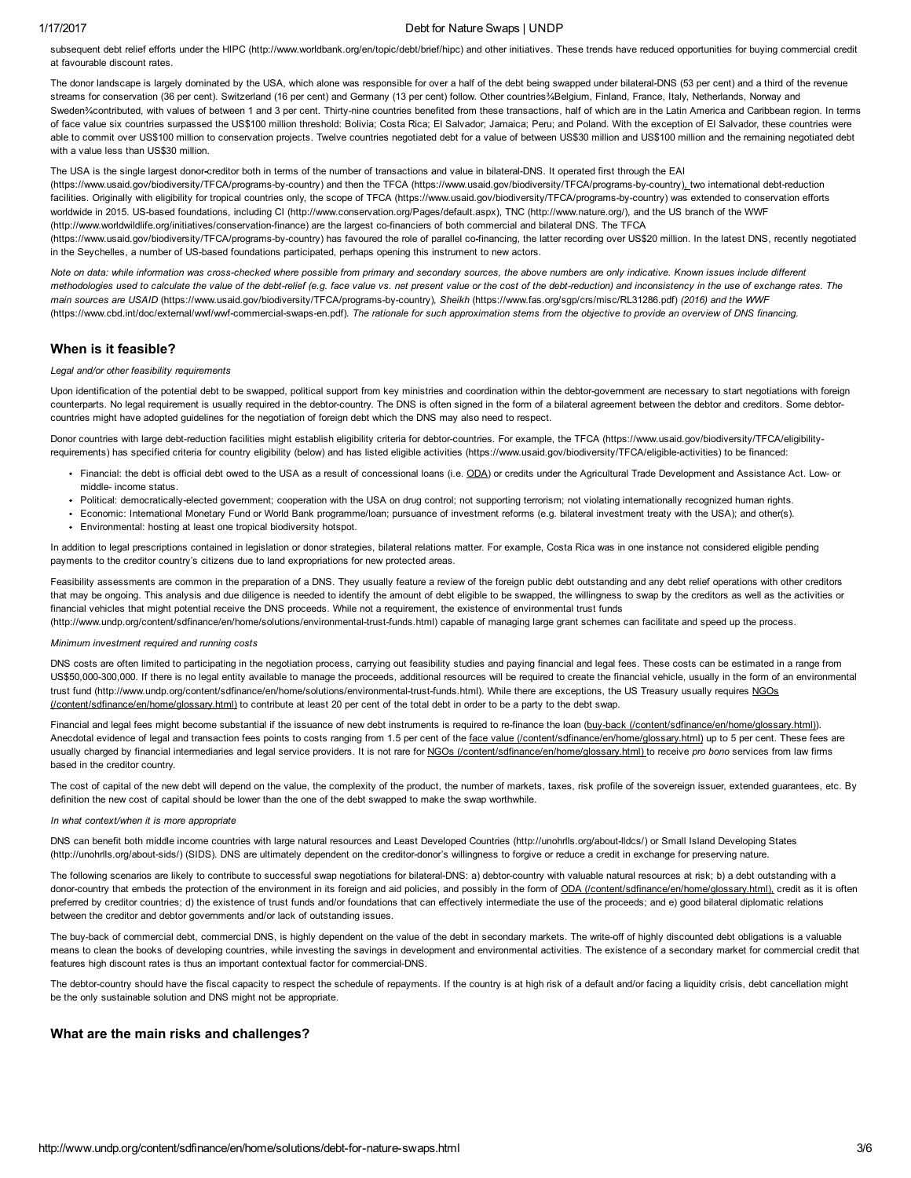### 1/17/2017 Debt for Nature Swaps | UNDP

subsequent debt relief efforts under the HIPC [\(http://www.worldbank.org/en/topic/debt/brief/hipc\)](http://www.worldbank.org/en/topic/debt/brief/hipc) and other initiatives. These trends have reduced opportunities for buying commercial credit at favourable discount rates.

The donor landscape is largely dominated by the USA, which alone was responsible for over a half of the debt being swapped under bilateral-DNS (53 per cent) and a third of the revenue streams for conservation (36 per cent). Switzerland (16 per cent) and Germany (13 per cent) follow. Other countries¾Belgium, Finland, France, Italy, Netherlands, Norway and Sweden%contributed, with values of between 1 and 3 per cent. Thirty-nine countries benefited from these transactions, half of which are in the Latin America and Caribbean region. In terms of face value six countries surpassed the US\$100 million threshold: Bolivia; Costa Rica; El Salvador; Jamaica; Peru; and Poland. With the exception of El Salvador, these countries were able to commit over US\$100 million to conservation projects. Twelve countries negotiated debt for a value of between US\$30 million and US\$100 million and the remaining negotiated debt with a value less than US\$30 million.

The USA is the single largest donor-creditor both in terms of the number of transactions and value in bilateral-DNS. It operated first through the EAI (https://www.usaid.gov/biodiversity/TFCA/programs-by-country) and then the TFCA (https://www.usaid.gov/biodiversity/TFCA/programs-by-country), two international debt-reduction facilities. Originally with eligibility for tropical countries only, the scope of TFCA (https://www.usaid.gov/biodiversity/TFCA/programs-by-country) was extended to conservation efforts

worldwide in 2015. US-based foundations, including CI [\(http://www.conservation.org/Pages/default.aspx\),](http://www.conservation.org/Pages/default.aspx) TNC [\(http://www.nature.org/\),](http://www.nature.org/) and the US branch of the WWF (http://www.worldwildlife.org/initiatives/conservation-finance) are the largest co-financiers of both commercial and bilateral DNS. The TFCA

(https://www.usaid.gov/biodiversity/TFCA/programs-by-country) has favoured the role of parallel co-financing, the latter recording over US\$20 million. In the latest DNS, recently negotiated in the Seychelles, a number of US-based foundations participated, perhaps opening this instrument to new actors.

Note on data: while information was cross-checked where possible from primary and secondary sources, the above numbers are only indicative. Known issues include different methodologies used to calculate the value of the debt-relief (e.g. face value vs. net present value or the cost of the debt-reduction) and inconsistency in the use of exchange rates. The main sources are USAID (https://www.usaid.gov/biodiversity/TFCA/programs-by-country), Sheikh [\(https://www.fas.org/sgp/crs/misc/RL31286.pdf\)](https://www.fas.org/sgp/crs/misc/RL31286.pdf) (2016) and the WWF (https://www.cbd.int/doc/external/wwf/wwf-commercial-swaps-en.pdf). The rationale for such approximation stems from the objective to provide an overview of DNS financing.

# When is it feasible?

### Legal and/or other feasibility requirements

Upon identification of the potential debt to be swapped, political support from key ministries and coordination within the debtor-government are necessary to start negotiations with foreign counterparts. No legal requirement is usually required in the debtor-country. The DNS is often signed in the form of a bilateral agreement between the debtor and creditors. Some debtorcountries might have adopted guidelines for the negotiation of foreign debt which the DNS may also need to respect.

Donor countries with large debt-reduction facilities might establish eligibility criteria for debtor-countries. For example, the TFCA (https://www.usaid.gov/biodiversity/TFCA/eligibilityrequirements) has specified criteria for country eligibility (below) and has listed eligible activities (https://www.usaid.gov/biodiversity/TFCA/eligible-activities) to be financed:

- Financial: the debt is official debt owed to the USA as a result of concessional loans (i.e. ODA) or credits under the Agricultural Trade Development and Assistance Act. Low- or middle- income status.
- Political: democratically-elected government; cooperation with the USA on drug control; not supporting terrorism; not violating internationally recognized human rights.
- Economic: International Monetary Fund or World Bank programme/loan; pursuance of investment reforms (e.g. bilateral investment treaty with the USA); and other(s).
- Environmental: hosting at least one tropical biodiversity hotspot.

In addition to legal prescriptions contained in legislation or donor strategies, bilateral relations matter. For example, Costa Rica was in one instance not considered eligible pending payments to the creditor country's citizens due to land expropriations for new protected areas.

Feasibility assessments are common in the preparation of a DNS. They usually feature a review of the foreign public debt outstanding and any debt relief operations with other creditors that may be ongoing. This analysis and due diligence is needed to identify the amount of debt eligible to be swapped, the willingness to swap by the creditors as well as the activities or financial vehicles that might potential receive the DNS proceeds. While not a requirement, the existence of environmental trust funds (http://www.undp.org/content/sdfinance/en/home/solutions/environmental-trust-funds.html) capable of managing large grant schemes can facilitate and speed up the process.

# Minimum investment required and running costs

DNS costs are often limited to participating in the negotiation process, carrying out feasibility studies and paying financial and legal fees. These costs can be estimated in a range from US\$50,000-300,000. If there is no legal entity available to manage the proceeds, additional resources will be required to create the financial vehicle, usually in the form of an environmental trust fund (http://www.undp.org/content/sdfinance/en/home/solutions/environmental-trust-funds.html). While there are exceptions, the US Treasury usually requires NGOs (/content/sdfinance/en/home/glossary.html) to contribute at least 20 per cent of the total debt in order to be a party to the debt swap.

Financial and legal fees might become substantial if the issuance of new debt instruments is required to re-finance the loan (buy-back [\(/content/sdfinance/en/home/glossary.html\)](http://www.undp.org/content/sdfinance/en/home/glossary.html)). Anecdotal evidence of legal and transaction fees points to costs ranging from 1.5 per cent of the face value [\(/content/sdfinance/en/home/glossary.html\)](http://www.undp.org/content/sdfinance/en/home/glossary.html) up to 5 per cent. These fees are usually charged by financial intermediaries and legal service providers. It is not rare for NGOs [\(/content/sdfinance/en/home/glossary.html\)](http://www.undp.org/content/sdfinance/en/home/glossary.html) to receive pro bono services from law firms based in the creditor country.

The cost of capital of the new debt will depend on the value, the complexity of the product, the number of markets, taxes, risk profile of the sovereign issuer, extended guarantees, etc. By definition the new cost of capital should be lower than the one of the debt swapped to make the swap worthwhile.

#### In what context/when it is more appropriate

DNS can benefit both middle income countries with large natural resources and Least Developed Countries (http://unohrlls.org/about-lldcs/) or Small Island Developing States (http://unohrlls.org/about-sids/) (SIDS). DNS are ultimately dependent on the creditor-donor's willingness to forgive or reduce a credit in exchange for preserving nature.

The following scenarios are likely to contribute to successful swap negotiations for bilateral-DNS: a) debtor-country with valuable natural resources at risk; b) a debt outstanding with a donor-country that embeds the protection of the environment in its foreign and aid policies, and possibly in the form of ODA [\(/content/sdfinance/en/home/glossary.html\)](http://www.undp.org/content/sdfinance/en/home/glossary.html), credit as it is often preferred by creditor countries; d) the existence of trust funds and/or foundations that can effectively intermediate the use of the proceeds; and e) good bilateral diplomatic relations between the creditor and debtor governments and/or lack of outstanding issues.

The buy-back of commercial debt, commercial DNS, is highly dependent on the value of the debt in secondary markets. The write-off of highly discounted debt obligations is a valuable means to clean the books of developing countries, while investing the savings in development and environmental activities. The existence of a secondary market for commercial credit that features high discount rates is thus an important contextual factor for commercial-DNS.

The debtor-country should have the fiscal capacity to respect the schedule of repayments. If the country is at high risk of a default and/or facing a liquidity crisis, debt cancellation might be the only sustainable solution and DNS might not be appropriate.

# What are the main risks and challenges?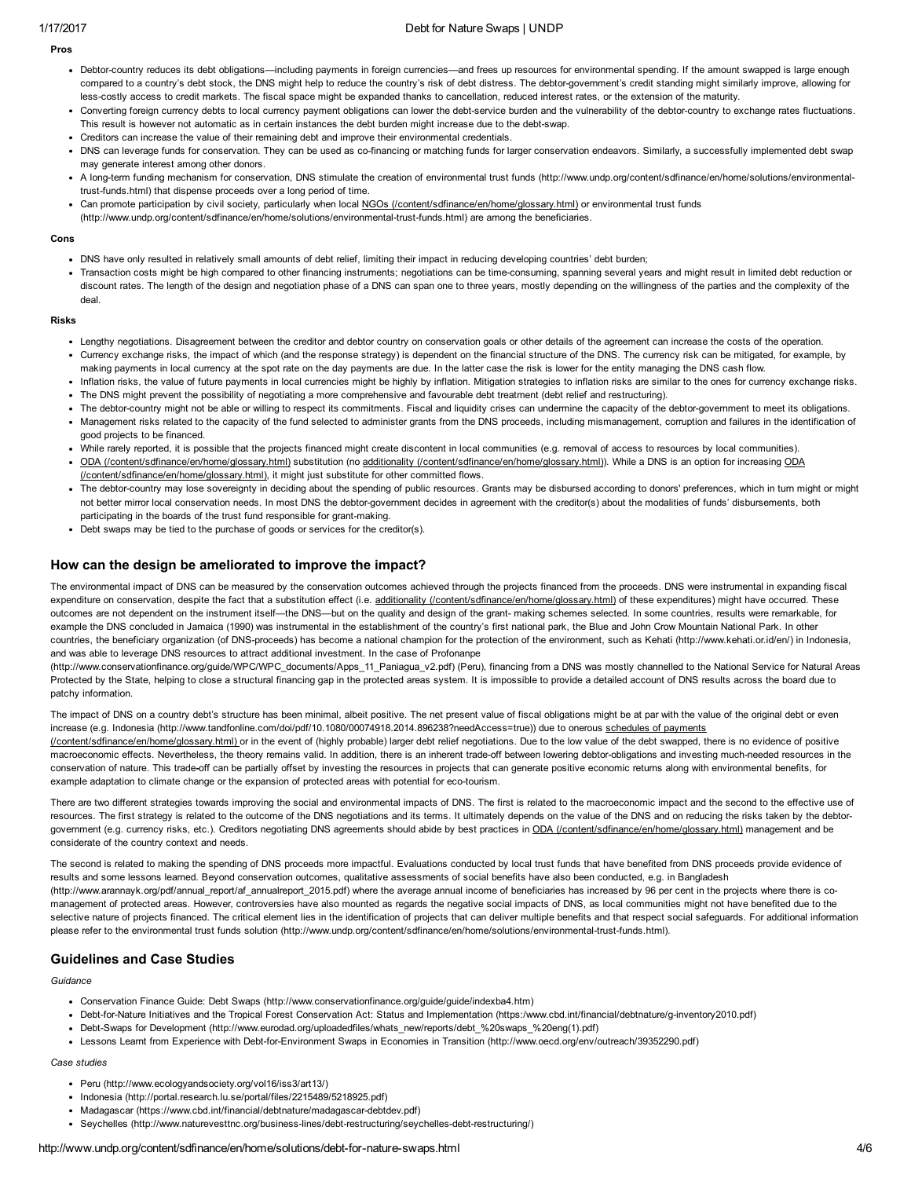# 1/17/2017 Debt for Nature Swaps | UNDP

Pros

- Debtor-country reduces its debt obligations—including payments in foreign currencies—and frees up resources for environmental spending. If the amount swapped is large enough compared to a country's debt stock, the DNS might help to reduce the country's risk of debt distress. The debtor-government's credit standing might similarly improve, allowing for less-costly access to credit markets. The fiscal space might be expanded thanks to cancellation, reduced interest rates, or the extension of the maturity.
- Converting foreign currency debts to local currency payment obligations can lower the debt-service burden and the vulnerability of the debtor-country to exchange rates fluctuations. This result is however not automatic as in certain instances the debt burden might increase due to the debt-swap.
- Creditors can increase the value of their remaining debt and improve their environmental credentials.
- DNS can leverage funds for conservation. They can be used as co-financing or matching funds for larger conservation endeavors. Similarly, a successfully implemented debt swap may generate interest among other donors.
- A long-term funding mechanism for conservation, DNS stimulate the creation of environmental trust funds [\(http://www.undp.org/content/sdfinance/en/home/solutions/environmental](http://www.undp.org/content/sdfinance/en/home/solutions/environmental-trust-funds.html)trust-funds.html) that dispense proceeds over a long period of time.
- Can promote participation by civil society, particularly when local NGOs [\(/content/sdfinance/en/home/glossary.html\)](http://www.undp.org/content/sdfinance/en/home/glossary.html) or environmental trust funds
- (http://www.undp.org/content/sdfinance/en/home/solutions/environmental-trust-funds.html) are among the beneficiaries.

#### Cons

- DNS have only resulted in relatively small amounts of debt relief, limiting their impact in reducing developing countries' debt burden;
- Transaction costs might be high compared to other financing instruments; negotiations can be time-consuming, spanning several years and might result in limited debt reduction or discount rates. The length of the design and negotiation phase of a DNS can span one to three years, mostly depending on the willingness of the parties and the complexity of the deal.

Risks

- Lengthy negotiations. Disagreement between the creditor and debtor country on conservation goals or other details of the agreement can increase the costs of the operation.
- Currency exchange risks, the impact of which (and the response strategy) is dependent on the financial structure of the DNS. The currency risk can be mitigated, for example, by making payments in local currency at the spot rate on the day payments are due. In the latter case the risk is lower for the entity managing the DNS cash flow.
- Inflation risks, the value of future payments in local currencies might be highly by inflation. Mitigation strategies to inflation risks are similar to the ones for currency exchange risks. The DNS might prevent the possibility of negotiating a more comprehensive and favourable debt treatment (debt relief and restructuring).
- The debtor-country might not be able or willing to respect its commitments. Fiscal and liquidity crises can undermine the capacity of the debtor-government to meet its obligations.
- Management risks related to the capacity of the fund selected to administer grants from the DNS proceeds, including mismanagement, corruption and failures in the identification of good projects to be financed.
- While rarely reported, it is possible that the projects financed might create discontent in local communities (e.g. removal of access to resources by local communities).
- ODA [\(/content/sdfinance/en/home/glossary.html\)](http://www.undp.org/content/sdfinance/en/home/glossary.html) substitution (no additionality [\(/content/sdfinance/en/home/glossary.html\)\).](http://www.undp.org/content/sdfinance/en/home/glossary.html) While a DNS is an option for increasing ODA (/content/sdfinance/en/home/glossary.html), it might just substitute for other committed flows.
- . The debtor-country may lose sovereignty in deciding about the spending of public resources. Grants may be disbursed according to donors' preferences, which in turn might or might not better mirror local conservation needs. In most DNS the debtor-government decides in agreement with the creditor(s) about the modalities of funds' disbursements, both participating in the boards of the trust fund responsible for grant-making.
- Debt swaps may be tied to the purchase of goods or services for the creditor(s).

# How can the design be ameliorated to improve the impact?

The environmental impact of DNS can be measured by the conservation outcomes achieved through the projects financed from the proceeds. DNS were instrumental in expanding fiscal expenditure on conservation, despite the fact that a substitution effect (i.e. additionality [\(/content/sdfinance/en/home/glossary.html\)](http://www.undp.org/content/sdfinance/en/home/glossary.html) of these expenditures) might have occurred. These outcomes are not dependent on the instrument itself—the DNS—but on the quality and design of the grant making schemes selected. In some countries, results were remarkable, for example the DNS concluded in Jamaica (1990) was instrumental in the establishment of the country's first national park, the Blue and John Crow Mountain National Park. In other countries, the beneficiary organization (of DNS-proceeds) has become a national champion for the protection of the environment, such as Kehati [\(http://www.kehati.or.id/en/\)](http://www.kehati.or.id/en/) in Indonesia, and was able to leverage DNS resources to attract additional investment. In the case of Profonanpe

[\(http://www.conservationfinance.org/guide/WPC/WPC\\_documents/Apps\\_11\\_Paniagua\\_v2.pdf\)](http://www.conservationfinance.org/guide/WPC/WPC_documents/Apps_11_Paniagua_v2.pdf) (Peru), financing from a DNS was mostly channelled to the National Service for Natural Areas Protected by the State, helping to close a structural financing gap in the protected areas system. It is impossible to provide a detailed account of DNS results across the board due to patchy information.

The impact of DNS on a country debt's structure has been minimal, albeit positive. The net present value of fiscal obligations might be at par with the value of the original debt or even increase (e.g. Indonesia [\(http://www.tandfonline.com/doi/pdf/10.1080/00074918.2014.896238?needAccess=true\)\)](http://www.undp.org/content/sdfinance/en/home/glossary.html) due to onerous schedules of payments (/content/sdfinance/en/home/glossary.html) or in the event of (highly probable) larger debt relief negotiations. Due to the low value of the debt swapped, there is no evidence of positive macroeconomic effects. Nevertheless, the theory remains valid. In addition, there is an inherent trade-off between lowering debtor-obligations and investing much-needed resources in the conservation of nature. This tradeoff can be partially offset by investing the resources in projects that can generate positive economic returns along with environmental benefits, for example adaptation to climate change or the expansion of protected areas with potential for eco-tourism.

There are two different strategies towards improving the social and environmental impacts of DNS. The first is related to the macroeconomic impact and the second to the effective use of resources. The first strategy is related to the outcome of the DNS negotiations and its terms. It ultimately depends on the value of the DNS and on reducing the risks taken by the debtor-government (e.g. currency risks, etc.). Creditors negotiating DNS agreements should abide by best practices in ODA [\(/content/sdfinance/en/home/glossary.html\)](http://www.undp.org/content/sdfinance/en/home/glossary.html) management and be considerate of the country context and needs.

The second is related to making the spending of DNS proceeds more impactful. Evaluations conducted by local trust funds that have benefited from DNS proceeds provide evidence of results and some lessons learned. Beyond conservation outcomes, qualitative assessments of social benefits have also been conducted, e.g. in Bangladesh [\(http://www.arannayk.org/pdf/annual\\_report/af\\_annualreport\\_2015.pdf\)](http://www.arannayk.org/pdf/annual_report/af_annualreport_2015.pdf) where the average annual income of beneficiaries has increased by 96 per cent in the projects where there is comanagement of protected areas. However, controversies have also mounted as regards the negative social impacts of DNS, as local communities might not have benefited due to the selective nature of projects financed. The critical element lies in the identification of projects that can deliver multiple benefits and that respect social safeguards. For additional information please refer to the environmental trust funds solution (http://www.undp.org/content/sdfinance/en/home/solutions/environmental-trust-funds.html).

# Guidelines and Case Studies

Guidance

- Conservation Finance Guide: Debt Swaps [\(http://www.conservationfinance.org/guide/guide/indexba4.htm\)](http://www.conservationfinance.org/guide/guide/indexba4.htm)
- Debt-for-Nature Initiatives and the Tropical Forest Conservation Act: Status and Implementation (https:/www.cbd.int/financial/debtnature/g-inventory2010.pdf)
- Debt-Swaps for Development [\(http://www.eurodad.org/uploadedfiles/whats\\_new/reports/debt\\_%20swaps\\_%20eng\(1\).pdf\)](http://www.eurodad.org/uploadedfiles/whats_new/reports/debt_%20swaps_%20eng(1).pdf)
- Lessons Learnt from Experience with DebtforEnvironment Swaps in Economies in Transition [\(http://www.oecd.org/env/outreach/39352290.pdf\)](http://www.oecd.org/env/outreach/39352290.pdf)

#### Case studies

- Peru [\(http://www.ecologyandsociety.org/vol16/iss3/art13/\)](http://www.ecologyandsociety.org/vol16/iss3/art13/)
- Indonesia [\(http://portal.research.lu.se/portal/files/2215489/5218925.pdf\)](http://portal.research.lu.se/portal/files/2215489/5218925.pdf)
- Madagascar (https://www.cbd.int/financial/debtnature/madagascar-debtdev.pdf)
- Seychelles (http://www.naturevesttnc.org/business-lines/debt-restructuring/seychelles-debt-restructuring/)

#### http://www.undp.org/content/sdfinance/en/home/solutions/debt-for-nature-swaps.html 4/6